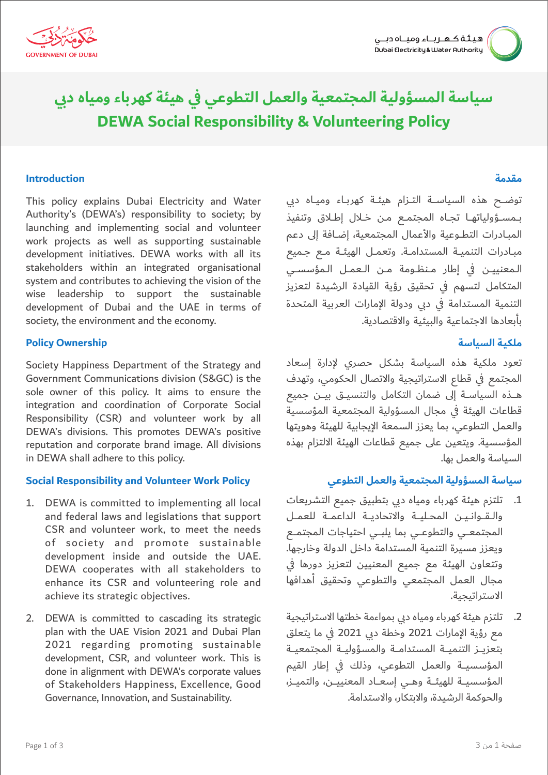

# **DEWA Social Responsibility & Volunteering Policy سياسة المسؤولية المجتمعية والعمل التطوعي في هيئة كهرباء ومياه دبي**

#### **Introduction**

This policy explains Dubai Electricity and Water Authority's (DEWA's) responsibility to society; by launching and implementing social and volunteer work projects as well as supporting sustainable development initiatives. DEWA works with all its stakeholders within an integrated organisational system and contributes to achieving the vision of the wise leadership to support the sustainable development of Dubai and the UAE in terms of society, the environment and the economy.

#### **Policy Ownership**

Society Happiness Department of the Strategy and Government Communications division (S&GC) is the sole owner of this policy. It aims to ensure the integration and coordination of Corporate Social Responsibility (CSR) and volunteer work by all DEWA's divisions. This promotes DEWA's positive reputation and corporate brand image. All divisions in DEWA shall adhere to this policy.

#### **Social Responsibility and Volunteer Work Policy**

- 1. DEWA is committed to implementing all local and federal laws and legislations that support CSR and volunteer work, to meet the needs of society and promote sustainable development inside and outside the UAE. DEWA cooperates with all stakeholders to enhance its CSR and volunteering role and achieve its strategic objectives.
- 2. DEWA is committed to cascading its strategic plan with the UAE Vision 2021 and Dubai Plan 2021 regarding promoting sustainable development, CSR, and volunteer work. This is done in alignment with DEWA's corporate values of Stakeholders Happiness, Excellence, Good Governance, Innovation, and Sustainability.

### **مقدمة**

توضــــح هذه السياســــة التـــزام هيئـــة كهربـــاء وميـــاه دبي بـمسـؤولياتهـا تجـاه المجتمـع مـن خـلال إطـلاق وتنفيذ المبــادرات التطـــوعية والأعمال المجتمعية، إضـــافة إلى دعم مبـادرات التنميـة المستدامـة. وتعمـل الهيئـة مـع جـميع الـمعنييـن في إطار مـنظـومة مـن الـعمـل الـمؤسسـى المتكامل لتسهم في تحقيق رؤية القيادة الرشيدة لتعزيز التنمية المستدامة في دبي ودولة الإمارات العربية المتحدة بأبعادها الاجتماعية والبيئية والاقتصادية.

## **ملكيـة السياسة**

تعود ملكية هذه السياسة بشكل حصري لإدارة إسعاد المجتمع في قطاع الاستراتيجية والاتصال الحكومي، وتهدف هـــــذه السياســـة إلى ضمان التكامل والتنسيـــق بيــــن جميع قطاعات الهيئة في مجال المسؤولية المجتمعية المؤسسية والعمل التطوعي، بما يعزز السمعة الإيجابية للهيئة وهويتها المؤسسية. ويتعين على جميع قطاعات الهيئة الالتزام بهذه السياسة والعمل بها.

#### **سياسة المسؤولية المجتمعية والعمل التطوعي**

- .1 تلتزم هيئة كهرباء ومياه دبي بتطبيق جميع التشريعات والـقـوانـيـن المحـليـة والاتحاديـة الداعمـة للعمـل المجتمعــي والتطوعــي بما يلبــي احتياجات المجتمـع ويعزز مسيرة التنمية المستدامة داخل الدولة وخارجها. وتتعاون الهيئة مع جميع المعنيين لتعزيز دورها في مجال العمل المجتمعي والتطوعي وتحقيق أهدافها الاستراتيجية.
- .2 تلتزم هيئة كهرباء ومياه دبي بمواءمة خطتها الاستراتيجية مع رؤية الإمارات 2021 وخطة دبي 2021 في ما يتعلق بتعزيــز التنميــة المستدامــة والمسؤوليــة المجتمعيــة المؤسسيــــة والعمل التطوعي، وذلك في إطار القيم المؤسسيــة للهيئــة وهــي إسعــاد المعنييــن، والتميــز، والحوكمة الرشيدة، والابتكار، والاستدامة.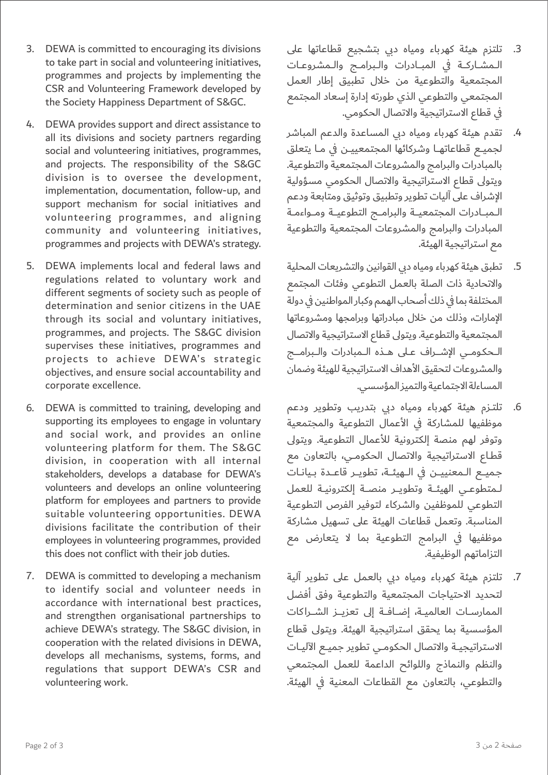- .3 تلتزم هيئة كهرباء ومياه دبي بتشجيع قطاعاتها على الـمشـاركـة في المبـادرات والـبرامـج والـمشروعـات المجتمعية والتطوعية من خلال تطبيق إطار العمل المجتمعي والتطوعي الذي طورته إدارة إسعاد المجتمع في قطاع الاستراتيجية والاتصال الحكومي.
	- .4 تقدم هيئة كهرباء ومياه دبي المساعدة والدعم المباشر لجميـع قطاعاتهـا وشركائها المجتمعييـن في مـا يتعلق بالمبادرات والبرامج والمشروعات المجتمعية والتطوعية. ويتولى قطاع الاستراتيجية والاتصال الحكومي مسؤولية الإشراف على آليات تطوير وتطبيق وتوثيق ومتابعة ودعم الـمبــادرات المجتمعيــة والبرامــج التطوعيــة ومــواءمـة المبادرات والبرامج والمشروعات المجتمعية والتطوعية مع استراتيجية الهيئة.
	- .5 تطبق هيئة كهرباء ومياه دبي القوانين والتشريعات المحلية والاتحادية ذات الصلة بالعمل التطوعي وفئات المجتمع المختلفة بما في ذلك أصحاب الهمم وكبار المواطنين في دولة الإمارات، وذلك من خلال مبادراتها وبرامجها ومشروعاتها المجتمعية والتطوعية. ويتولى قطاع الاستراتيجية والاتصال الــحكـومــى الإشــراف عـلى هــذه الــمبادرات والـبرامــج والمشروعات لتحقيق الأهداف الاستراتيجية للهيئة وضمان المساءلة الاجتماعية والتميز المؤسسي.
	- .6 تلتــزم هيئة كهرباء ومياه دبي بتدريب وتطوير ودعم موظفيها للمشاركة في الأعمال التطوعية والمجتمعية وتوفر لهم منصة إلكترونية للأعمال التطوعية. ويتولى قطـاع الاستراتيجية والاتصال الحكومـى، بالتعاون مع جميـع الـمعنييــن في الــهيئــة، تطويـر قاعــدة بـيانـات لـمتطوعـى الهيئــة وتطويـر منصــة إلكترونيـة للعمل التطوعي للموظفين والشركاء لتوفير الفرص التطوعية المناسبة. وتعمل قطاعات الهيئة على تسهيل مشاركة موظفيها في البرامج التطوعية بما لا يتعارض مع التزاماتهم الوظيفية.
	- .7 تلتزم هيئة كهرباء ومياه دبي بالعمل على تطوير آلية لتحديد الاحتياجات المجتمعية والتطوعية وفق أفضل الممارسـات العالميـة، إضـافـة إلى تعزيــز الشــراكات المؤسسية بما يحقق استراتيجية الهيئة. ويتولى قطاع الاستراتيجيـة والاتصال الحكومـي تطوير جميـع الآليـات والنظم والنماذج واللوائح الداعمة للعمل المجتمعي والتطوعي، بالتعاون مع القطاعات المعنية في الهيئة.
- 3. DEWA is committed to encouraging its divisions to take part in social and volunteering initiatives, programmes and projects by implementing the CSR and Volunteering Framework developed by the Society Happiness Department of S&GC.
- 4. DEWA provides support and direct assistance to all its divisions and society partners regarding social and volunteering initiatives, programmes, and projects. The responsibility of the S&GC division is to oversee the development, implementation, documentation, follow-up, and support mechanism for social initiatives and volunteering programmes, and aligning community and volunteering initiatives, programmes and projects with DEWA's strategy.
- 5. DEWA implements local and federal laws and regulations related to voluntary work and different segments of society such as people of determination and senior citizens in the UAE through its social and voluntary initiatives, programmes, and projects. The S&GC division supervises these initiatives, programmes and projects to achieve DEWA's strategic objectives, and ensure social accountability and corporate excellence.
- 6. DEWA is committed to training, developing and supporting its employees to engage in voluntary and social work, and provides an online volunteering platform for them. The S&GC division, in cooperation with all internal stakeholders, develops a database for DEWA's volunteers and develops an online volunteering platform for employees and partners to provide suitable volunteering opportunities. DEWA divisions facilitate the contribution of their employees in volunteering programmes, provided this does not conflict with their job duties.
- 7. DEWA is committed to developing a mechanism to identify social and volunteer needs in accordance with international best practices, and strengthen organisational partnerships to achieve DEWA's strategy. The S&GC division, in cooperation with the related divisions in DEWA, develops all mechanisms, systems, forms, and regulations that support DEWA's CSR and volunteering work.